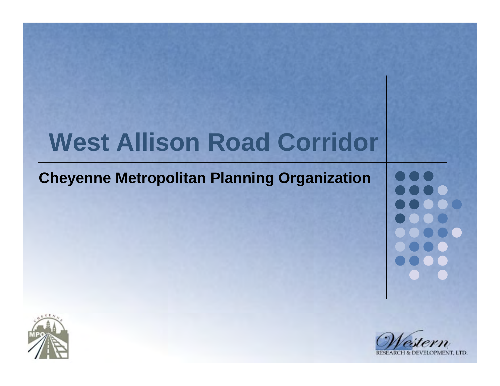# **West Allison Road Corridor**

#### **Cheyenne Metropolitan Planning Organization**



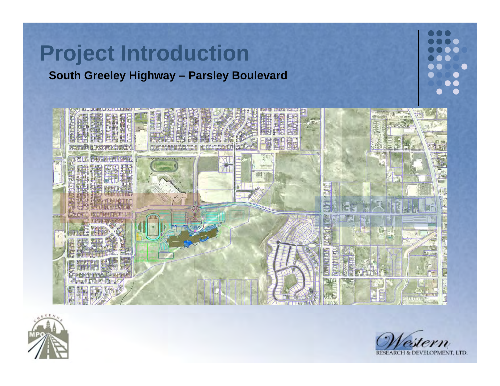



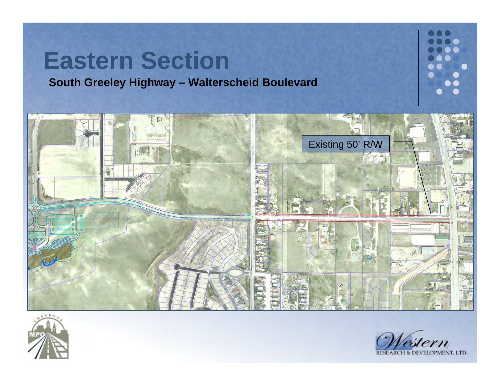



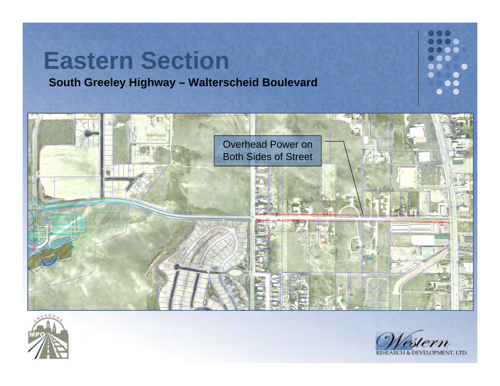



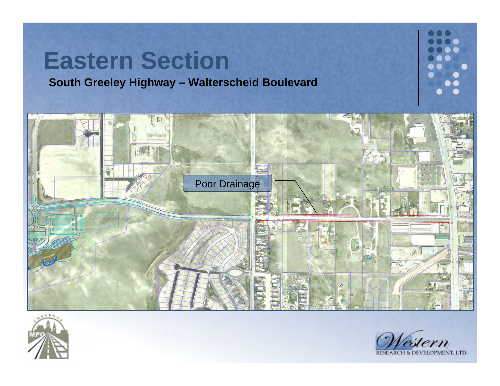



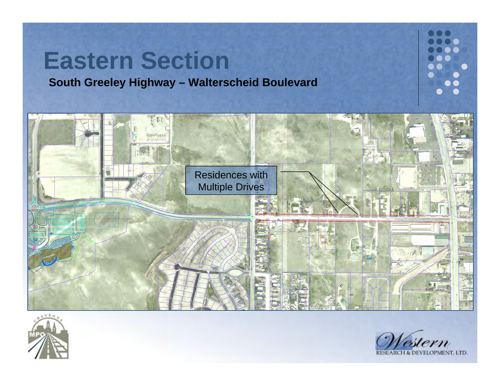



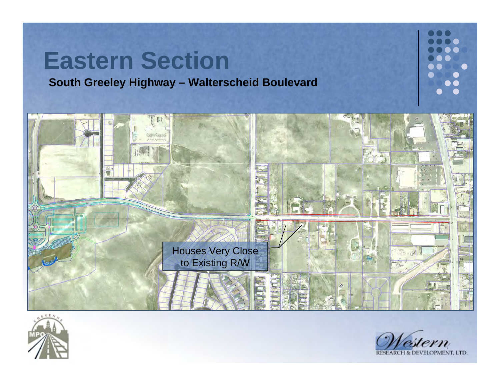



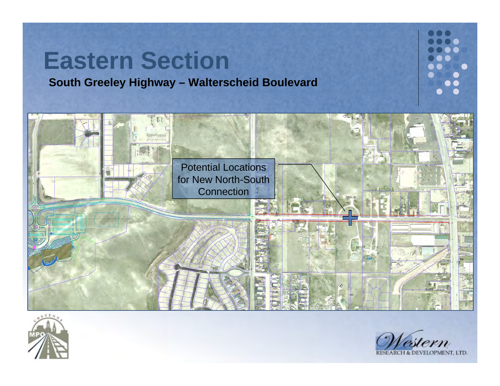



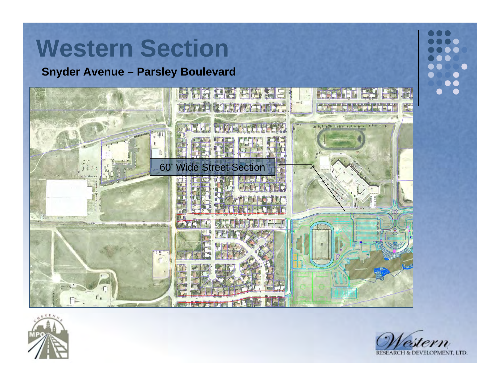**Snyder Avenue – Parsley Boulevard**



てまん

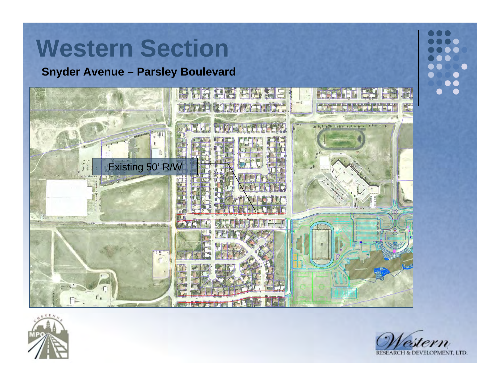**Snyder Avenue – Parsley Boulevard**



**TEN** 

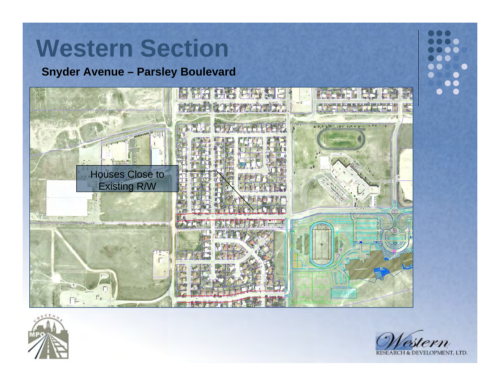**Snyder Avenue – Parsley Boulevard**



**TEA** 

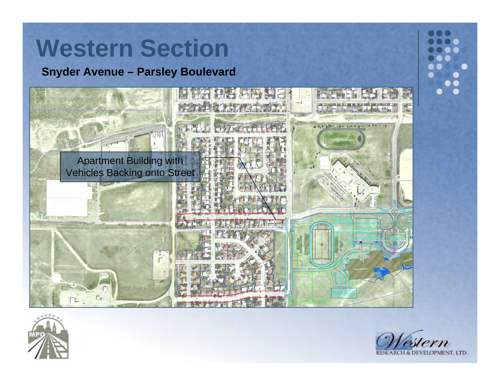



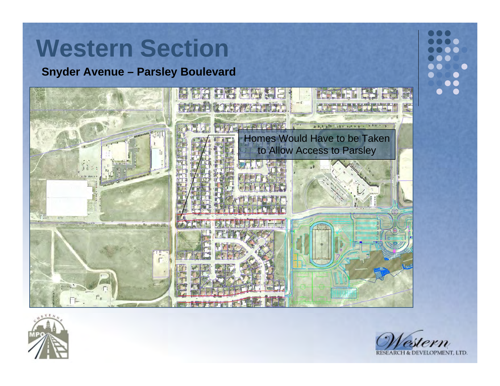



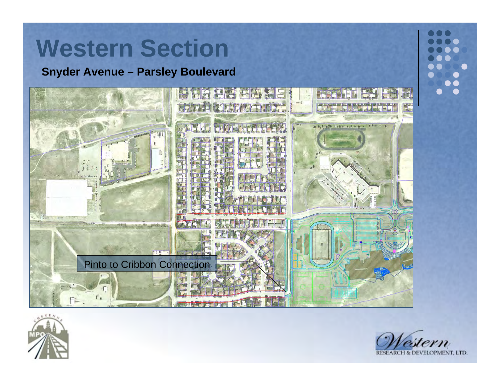



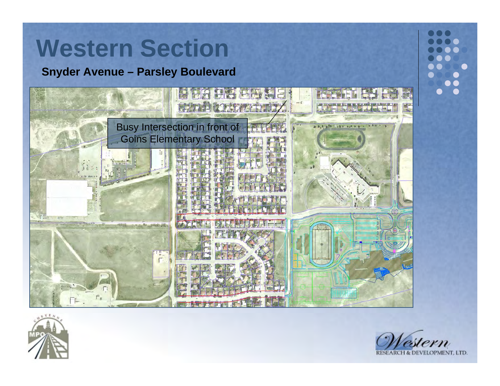**Snyder Avenue – Parsley Boulevard**



**TEA** 

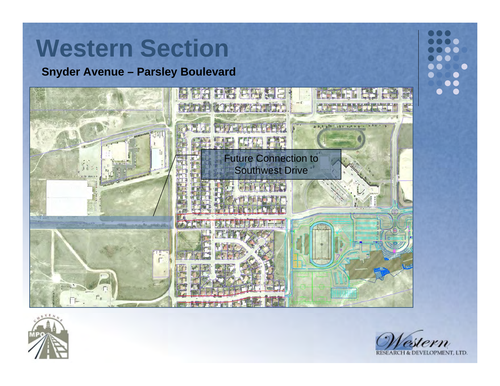